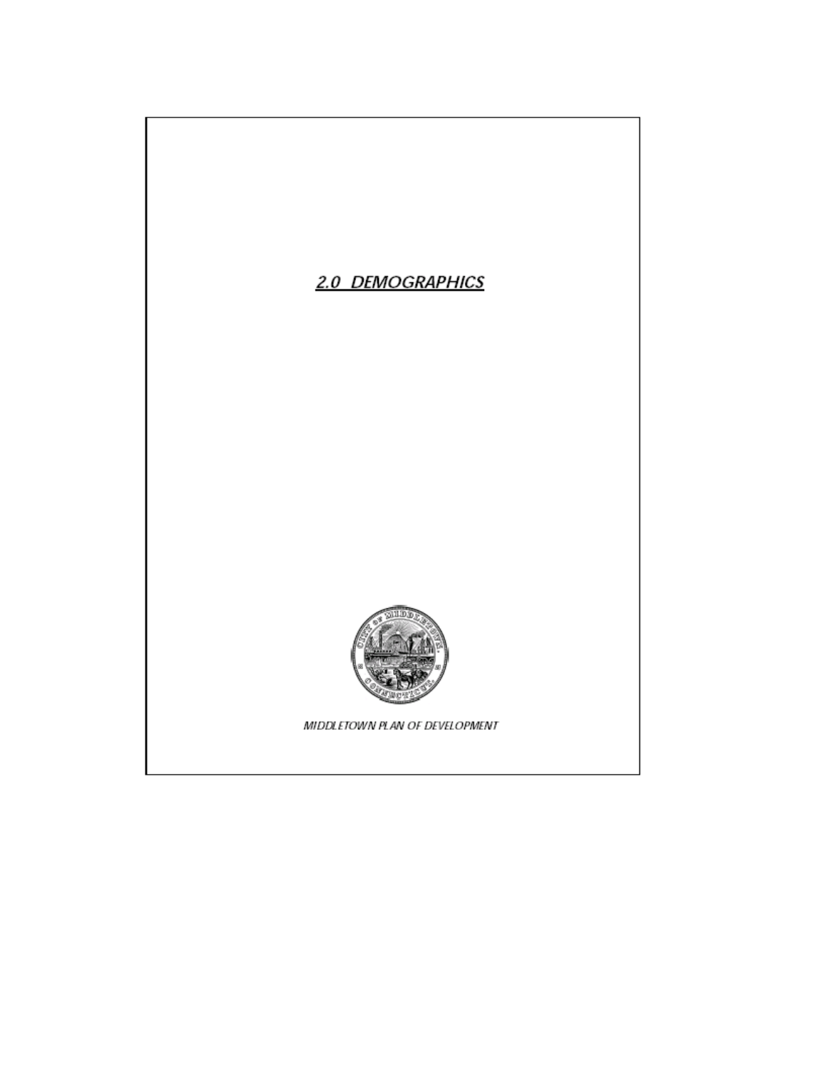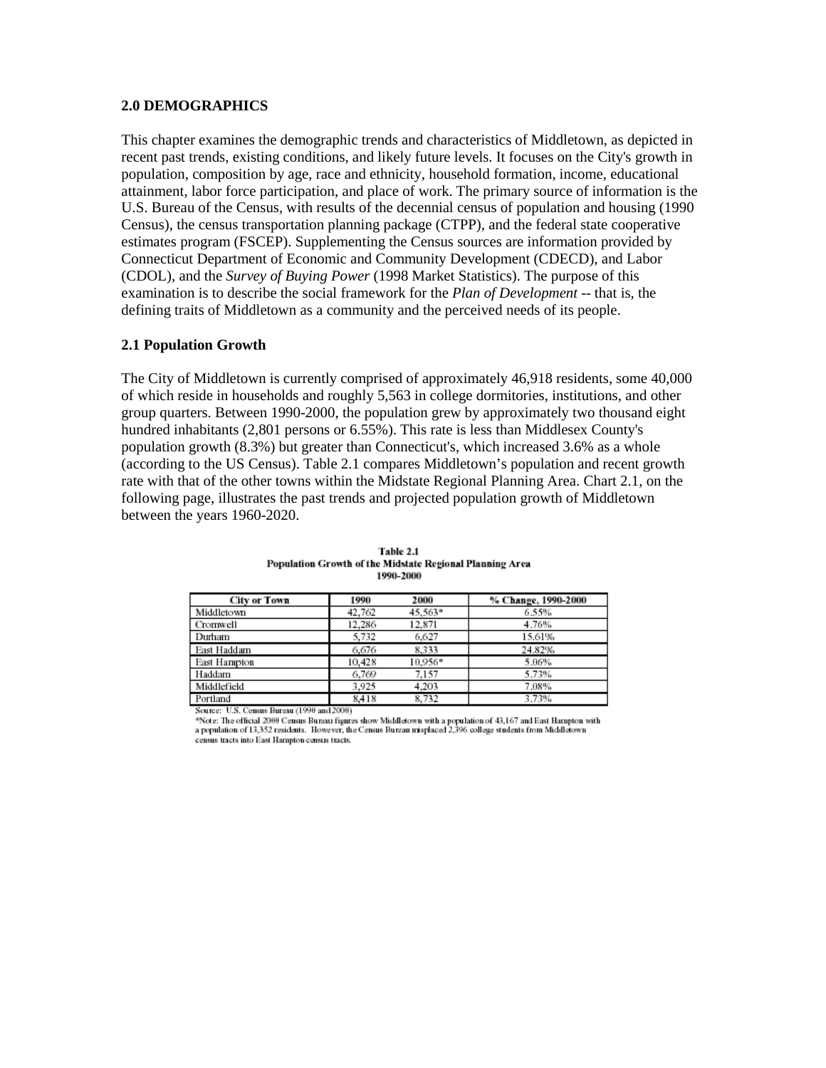#### **2.0 DEMOGRAPHICS**

This chapter examines the demographic trends and characteristics of Middletown, as depicted in recent past trends, existing conditions, and likely future levels. It focuses on the City's growth in population, composition by age, race and ethnicity, household formation, income, educational attainment, labor force participation, and place of work. The primary source of information is the U.S. Bureau of the Census, with results of the decennial census of population and housing (1990 Census), the census transportation planning package (CTPP), and the federal state cooperative estimates program (FSCEP). Supplementing the Census sources are information provided by Connecticut Department of Economic and Community Development (CDECD), and Labor (CDOL), and the *Survey of Buying Power* (1998 Market Statistics). The purpose of this examination is to describe the social framework for the *Plan of Development* -- that is, the defining traits of Middletown as a community and the perceived needs of its people.

## **2.1 Population Growth**

The City of Middletown is currently comprised of approximately 46,918 residents, some 40,000 of which reside in households and roughly 5,563 in college dormitories, institutions, and other group quarters. Between 1990-2000, the population grew by approximately two thousand eight hundred inhabitants (2,801 persons or 6.55%). This rate is less than Middlesex County's population growth (8.3%) but greater than Connecticut's, which increased 3.6% as a whole (according to the US Census). Table 2.1 compares Middletown's population and recent growth rate with that of the other towns within the Midstate Regional Planning Area. Chart 2.1, on the following page, illustrates the past trends and projected population growth of Middletown between the years 1960-2020.

| City or Town | 1990   | 2000      | % Change, 1990-2000 |
|--------------|--------|-----------|---------------------|
| Middletown   | 42,762 | $45.563*$ | 6.55%               |
| Cromwell     | 12.286 | 12,871    | 4.76%               |
| Durham       | 5,732  | 6.627     | 15.61%              |
| East Haddam  | 6.676  | 8.333     | 24.82%              |
| East Hampton | 10.428 | 10.956*   | 5.06%               |
| Haddam       | 6.769  | 7.157     | 5.73%               |
| Middlefield  | 3.925  | 4.203     | 7.08%               |
| Portland     | 8.418  | 8.732     | 3.73%               |

| Table 2.1                                                |  |  |  |  |  |  |  |
|----------------------------------------------------------|--|--|--|--|--|--|--|
| Population Growth of the Midstate Regional Planning Area |  |  |  |  |  |  |  |
| 1990-2000                                                |  |  |  |  |  |  |  |

XXIII)

\*Note: The official 2000 Census Bureau figures show Middletown with a population of 43,167 and East Hampton with<br>a population of 13,352 residents. However, the Census Bureau misplaced 2,396 college students from Middletown census tracts into East Hampton census tracts.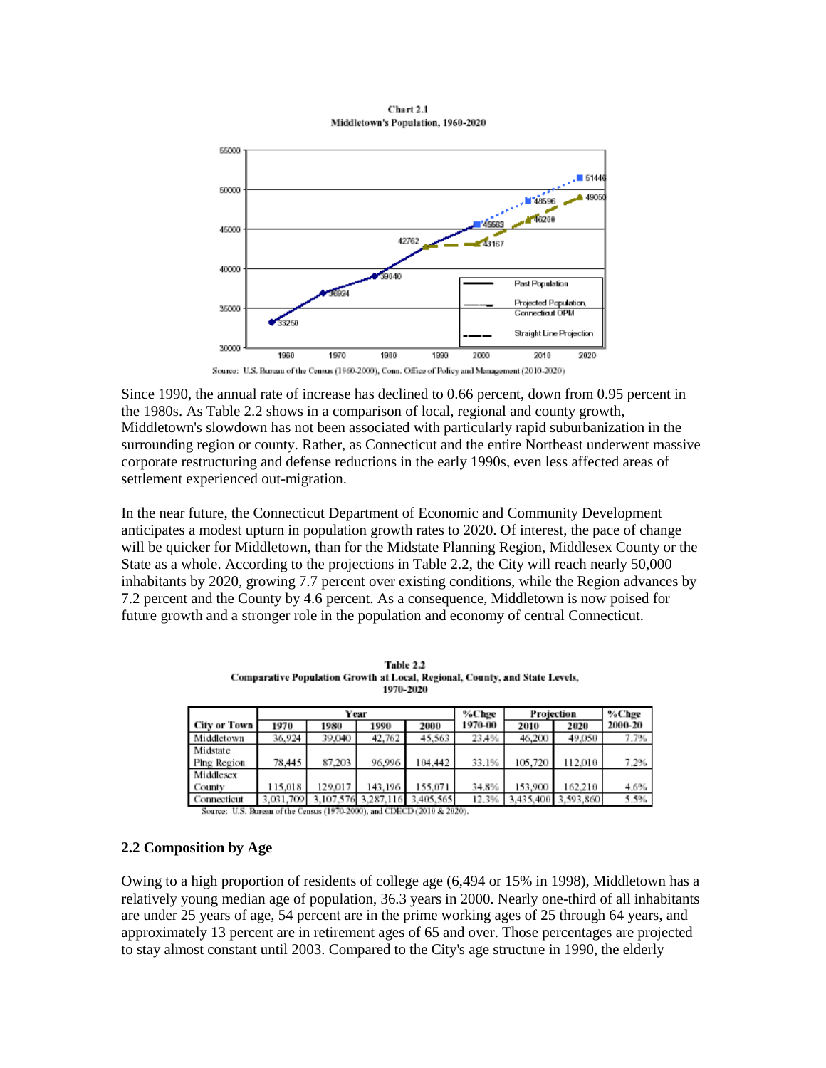

Chart 2.1 Middletown's Population, 1960-2020

Source: U.S. Bureau of the Census (1960-2000), Conn. Office of Policy and Management (2010-2020)

Since 1990, the annual rate of increase has declined to 0.66 percent, down from 0.95 percent in the 1980s. As Table 2.2 shows in a comparison of local, regional and county growth, Middletown's slowdown has not been associated with particularly rapid suburbanization in the surrounding region or county. Rather, as Connecticut and the entire Northeast underwent massive corporate restructuring and defense reductions in the early 1990s, even less affected areas of settlement experienced out-migration.

In the near future, the Connecticut Department of Economic and Community Development anticipates a modest upturn in population growth rates to 2020. Of interest, the pace of change will be quicker for Middletown, than for the Midstate Planning Region, Middlesex County or the State as a whole. According to the projections in Table 2.2, the City will reach nearly 50,000 inhabitants by 2020, growing 7.7 percent over existing conditions, while the Region advances by 7.2 percent and the County by 4.6 percent. As a consequence, Middletown is now poised for future growth and a stronger role in the population and economy of central Connecticut.

|              | Year      |           |         | %Chge               |         | Projection |           |         |
|--------------|-----------|-----------|---------|---------------------|---------|------------|-----------|---------|
| City or Town | 1970      | 1980      | 1990    | 2000                | 1970-00 | 2010       | 2020      | 2000-20 |
| Middletown   | 36.924    | 39.040    | 42,762  | 45.563              | 23.4%   | 46,200     | 49,050    | 7.7%    |
| Midstate     |           |           |         |                     |         |            |           |         |
| Plng Region  | 78.445    | 87.203    | 96.996  | 104.442             | 33.1%   | 105,720    | 112,010   | 7.2%    |
| Middlesex    |           |           |         |                     |         |            |           |         |
| County       | 115,018   | 129,017   | 143.196 | 155.071             | 34.8%   | 153,900    | 162.210   | 4.6%    |
| Connecticut  | 3.031.709 | 3,107,576 |         | 3.287.116 3.405.565 | 12.3%   | 3.435.400  | 3,593,860 | 5.5%    |

Table 2.2 Comparative Population Growth at Local, Regional, County, and State Levels, 1970-2020

Source: U.S. Bureau of the Census (1970-2000), and CDECD (2010 & 2020).

#### **2.2 Composition by Age**

Owing to a high proportion of residents of college age (6,494 or 15% in 1998), Middletown has a relatively young median age of population, 36.3 years in 2000. Nearly one-third of all inhabitants are under 25 years of age, 54 percent are in the prime working ages of 25 through 64 years, and approximately 13 percent are in retirement ages of 65 and over. Those percentages are projected to stay almost constant until 2003. Compared to the City's age structure in 1990, the elderly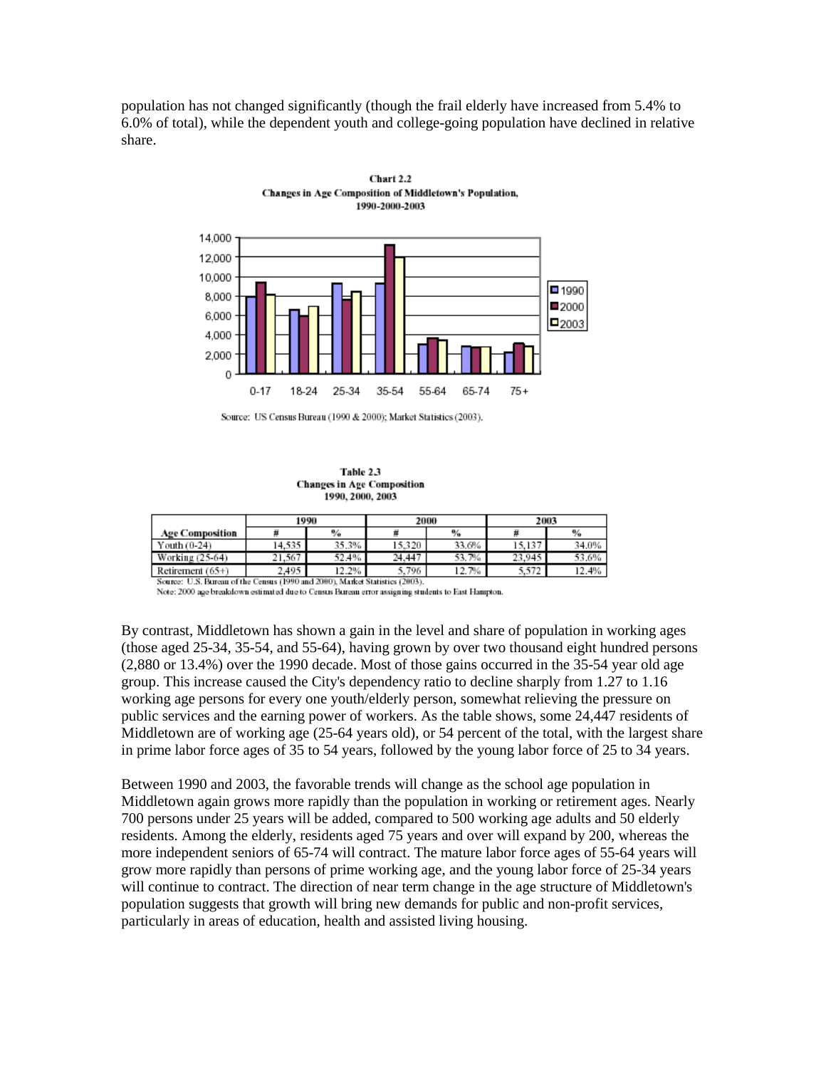population has not changed significantly (though the frail elderly have increased from 5.4% to 6.0% of total), while the dependent youth and college-going population have declined in relative share.



Chart 2.2 Changes in Age Composition of Middletown's Population,

Table 2.3 **Changes in Age Composition** 1990, 2000, 2003

|                                                                                | 1990   |       |        | 2000      | 2003   |       |
|--------------------------------------------------------------------------------|--------|-------|--------|-----------|--------|-------|
| <b>Age Composition</b>                                                         |        | %     |        | %         |        | $\%$  |
| Youth (0-24)                                                                   | 14.535 | 35.3% | 15.320 | 33.6%     | 15.137 | 34.0% |
| Working (25-64)                                                                | 21.567 | 52.4% | 24.447 | 53.7%     | 23.945 | 53.6% |
| Retirement $(65+)$                                                             | 2.495  | 12.2% | 5.796  | 7%<br>12. | 5.572  | 12.4% |
| Market Statistics (2003).<br>Source: U.S. Bureau of the Census (1990 and 2000) |        |       |        |           |        |       |

Note: 2000 age breakdown estimated due to Census Bureau error assigning students to East Hampton.

By contrast, Middletown has shown a gain in the level and share of population in working ages (those aged 25-34, 35-54, and 55-64), having grown by over two thousand eight hundred persons (2,880 or 13.4%) over the 1990 decade. Most of those gains occurred in the 35-54 year old age group. This increase caused the City's dependency ratio to decline sharply from 1.27 to 1.16 working age persons for every one youth/elderly person, somewhat relieving the pressure on public services and the earning power of workers. As the table shows, some 24,447 residents of Middletown are of working age (25-64 years old), or 54 percent of the total, with the largest share in prime labor force ages of 35 to 54 years, followed by the young labor force of 25 to 34 years.

Between 1990 and 2003, the favorable trends will change as the school age population in Middletown again grows more rapidly than the population in working or retirement ages. Nearly 700 persons under 25 years will be added, compared to 500 working age adults and 50 elderly residents. Among the elderly, residents aged 75 years and over will expand by 200, whereas the more independent seniors of 65-74 will contract. The mature labor force ages of 55-64 years will grow more rapidly than persons of prime working age, and the young labor force of 25-34 years will continue to contract. The direction of near term change in the age structure of Middletown's population suggests that growth will bring new demands for public and non-profit services, particularly in areas of education, health and assisted living housing.

Source: US Census Bureau (1990 & 2000); Market Statistics (2003).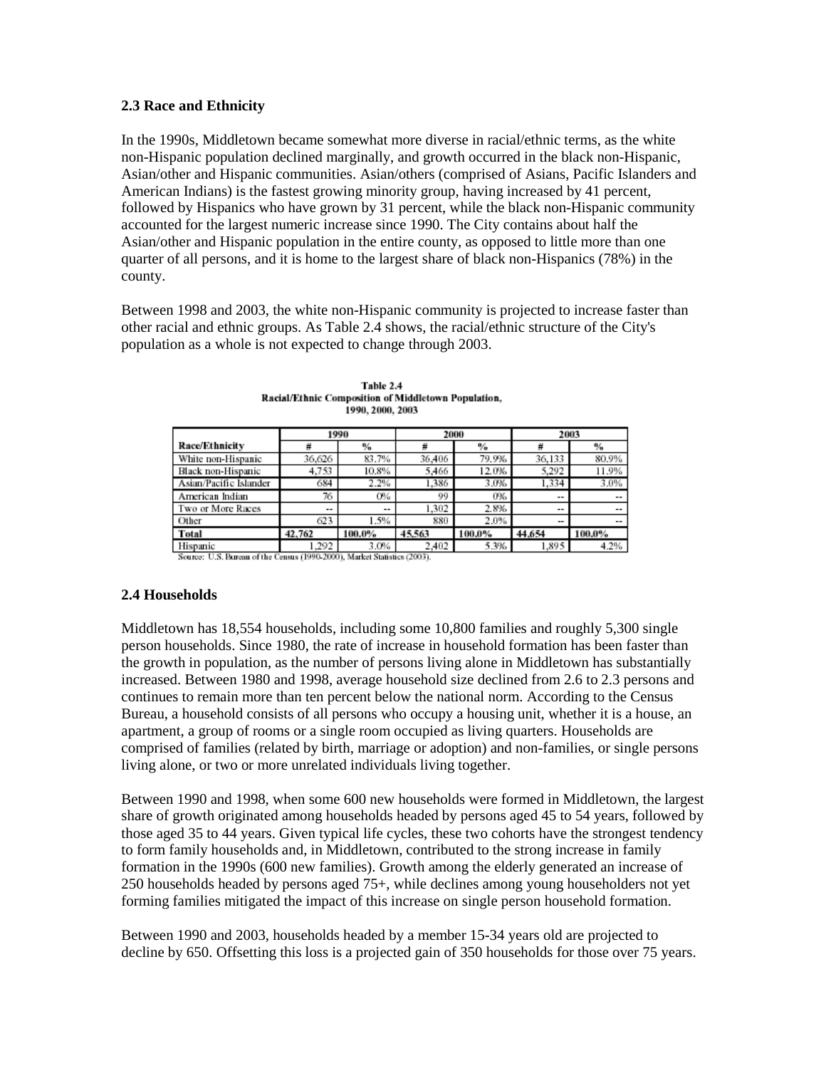#### **2.3 Race and Ethnicity**

In the 1990s, Middletown became somewhat more diverse in racial/ethnic terms, as the white non-Hispanic population declined marginally, and growth occurred in the black non-Hispanic, Asian/other and Hispanic communities. Asian/others (comprised of Asians, Pacific Islanders and American Indians) is the fastest growing minority group, having increased by 41 percent, followed by Hispanics who have grown by 31 percent, while the black non-Hispanic community accounted for the largest numeric increase since 1990. The City contains about half the Asian/other and Hispanic population in the entire county, as opposed to little more than one quarter of all persons, and it is home to the largest share of black non-Hispanics (78%) in the county.

Between 1998 and 2003, the white non-Hispanic community is projected to increase faster than other racial and ethnic groups. As Table 2.4 shows, the racial/ethnic structure of the City's population as a whole is not expected to change through 2003.

|                                   | 1990   |                          |              | 2000   | 2003                     |                          |
|-----------------------------------|--------|--------------------------|--------------|--------|--------------------------|--------------------------|
| Race/Ethnicity                    |        | $\%$                     |              | %      | #                        | %                        |
| White non-Hispanic                | 36.626 | 83.7%                    | 36,406       | 79.9%  | 36,133                   | 80.9%                    |
| Black non-Hispanic                | 4.753  | 10.8%                    | 5,466        | 12.0%  | 5,292                    | 11.9%                    |
| Asian/Pacific Islander            | 684    | 2.2%                     | 1,386        | 3.0%   | 1.334                    | 3.0%                     |
| American Indian                   | 76     | O%                       | 99           | 0%     | $\overline{\phantom{a}}$ | $\overline{\phantom{a}}$ |
| Two or More Races                 | --     | $\overline{\phantom{a}}$ | 1,302        | 2.8%   | $\overline{\phantom{a}}$ | $\sim$                   |
| Other                             | 623    | 1.5%                     | 880          | 2.0%   | $\overline{\phantom{a}}$ | $\sim$                   |
| Total                             | 42.762 | 100.0%                   | 45,563       | 100.0% | 44.654                   | 100.0%                   |
| Hispanic<br>$\cdots$<br>--<br>--- | .292   | 3.0%                     | 2,402<br>$-$ | 5.3%   | 1.895                    | 4.2%                     |

Table 2.4 Racial/Ethnic Composition of Middletown Population, 1990, 2000, 2003

Source: U.S. Bureau of the Census (1990-2000), Market Statistics (2003).

## **2.4 Households**

Middletown has 18,554 households, including some 10,800 families and roughly 5,300 single person households. Since 1980, the rate of increase in household formation has been faster than the growth in population, as the number of persons living alone in Middletown has substantially increased. Between 1980 and 1998, average household size declined from 2.6 to 2.3 persons and continues to remain more than ten percent below the national norm. According to the Census Bureau, a household consists of all persons who occupy a housing unit, whether it is a house, an apartment, a group of rooms or a single room occupied as living quarters. Households are comprised of families (related by birth, marriage or adoption) and non-families, or single persons living alone, or two or more unrelated individuals living together.

Between 1990 and 1998, when some 600 new households were formed in Middletown, the largest share of growth originated among households headed by persons aged 45 to 54 years, followed by those aged 35 to 44 years. Given typical life cycles, these two cohorts have the strongest tendency to form family households and, in Middletown, contributed to the strong increase in family formation in the 1990s (600 new families). Growth among the elderly generated an increase of 250 households headed by persons aged 75+, while declines among young householders not yet forming families mitigated the impact of this increase on single person household formation.

Between 1990 and 2003, households headed by a member 15-34 years old are projected to decline by 650. Offsetting this loss is a projected gain of 350 households for those over 75 years.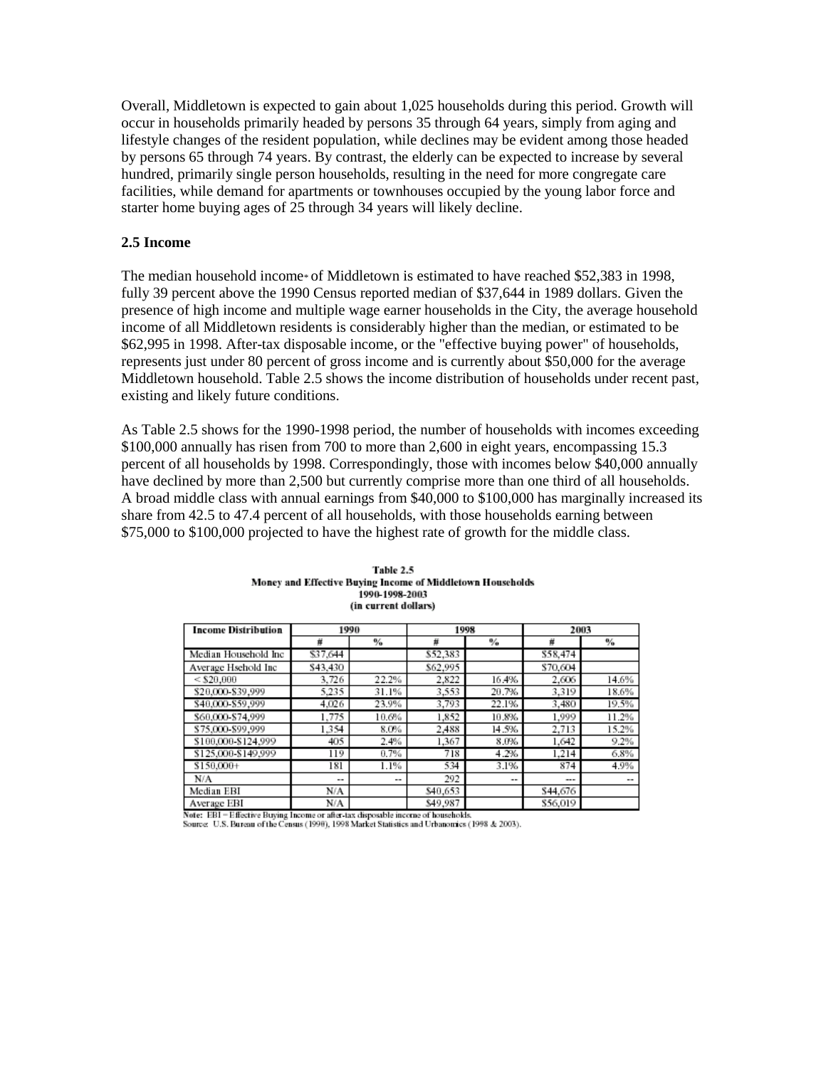Overall, Middletown is expected to gain about 1,025 households during this period. Growth will occur in households primarily headed by persons 35 through 64 years, simply from aging and lifestyle changes of the resident population, while declines may be evident among those headed by persons 65 through 74 years. By contrast, the elderly can be expected to increase by several hundred, primarily single person households, resulting in the need for more congregate care facilities, while demand for apartments or townhouses occupied by the young labor force and starter home buying ages of 25 through 34 years will likely decline.

#### **2.5 Income**

The median household income\* of Middletown is estimated to have reached \$52,383 in 1998, fully 39 percent above the 1990 Census reported median of \$37,644 in 1989 dollars. Given the presence of high income and multiple wage earner households in the City, the average household income of all Middletown residents is considerably higher than the median, or estimated to be \$62,995 in 1998. After-tax disposable income, or the "effective buying power" of households, represents just under 80 percent of gross income and is currently about \$50,000 for the average Middletown household. Table 2.5 shows the income distribution of households under recent past, existing and likely future conditions.

As Table 2.5 shows for the 1990-1998 period, the number of households with incomes exceeding \$100,000 annually has risen from 700 to more than 2,600 in eight years, encompassing 15.3 percent of all households by 1998. Correspondingly, those with incomes below \$40,000 annually have declined by more than 2,500 but currently comprise more than one third of all households. A broad middle class with annual earnings from \$40,000 to \$100,000 has marginally increased its share from 42.5 to 47.4 percent of all households, with those households earning between \$75,000 to \$100,000 projected to have the highest rate of growth for the middle class.

| <b>Income Distribution</b> | 1990     |       | 1998     |                          | 2003     |       |
|----------------------------|----------|-------|----------|--------------------------|----------|-------|
|                            | #        | ℅     | 基        | %                        | #        | %     |
| Median Household Inc       | \$37,644 |       | \$52,383 |                          | \$58,474 |       |
| Average Hschold Inc        | \$43,430 |       | \$62,995 |                          | \$70,604 |       |
| $<$ \$20,000               | 3,726    | 22.2% | 2.822    | 16.4%                    | 2,606    | 14.6% |
| \$20,000-\$39,999          | 5.235    | 31.1% | 3,553    | 20.7%                    | 3,319    | 18.6% |
| \$40,000-\$59,999          | 4.026    | 23.9% | 3,793    | 22.1%                    | 3.480    | 19.5% |
| \$60,000-\$74,999          | 1.775    | 10.6% | 1,852    | 10.8%                    | 1,999    | 11.2% |
| \$75,000-\$99,999          | 1.354    | 8.0%  | 2.488    | 14.5%                    | 2.713    | 15.2% |
| \$100,000-\$124,999        | 405      | 2.4%  | 1,367    | 8.0%                     | 1.642    | 9.2%  |
| \$125,000-\$149,999        | 119      | 0.7%  | 718      | 4.2%                     | 1.214    | 6.8%  |
| \$150,000+                 | 181      | 1.1%  | 534      | 3.1%                     | 874      | 4.9%  |
| N/A                        | --       | --    | 292      | $\overline{\phantom{a}}$ | ---      | --    |
| Median EBI                 | N/A      |       | \$40,653 |                          | \$44,676 |       |
| Average EBI                | N/A      |       | \$49,987 |                          | \$56,019 |       |

Table 2.5 Money and Effective Buying Income of Middletown Households 1990-1998-2003 (in current dollars)

Note: EBI = Effective Buying Income or after-tax disposable income of households.

Source: U.S. Bureau of the Census (1990), 1998 Market Statistics and Urbanomics (1998 & 2003).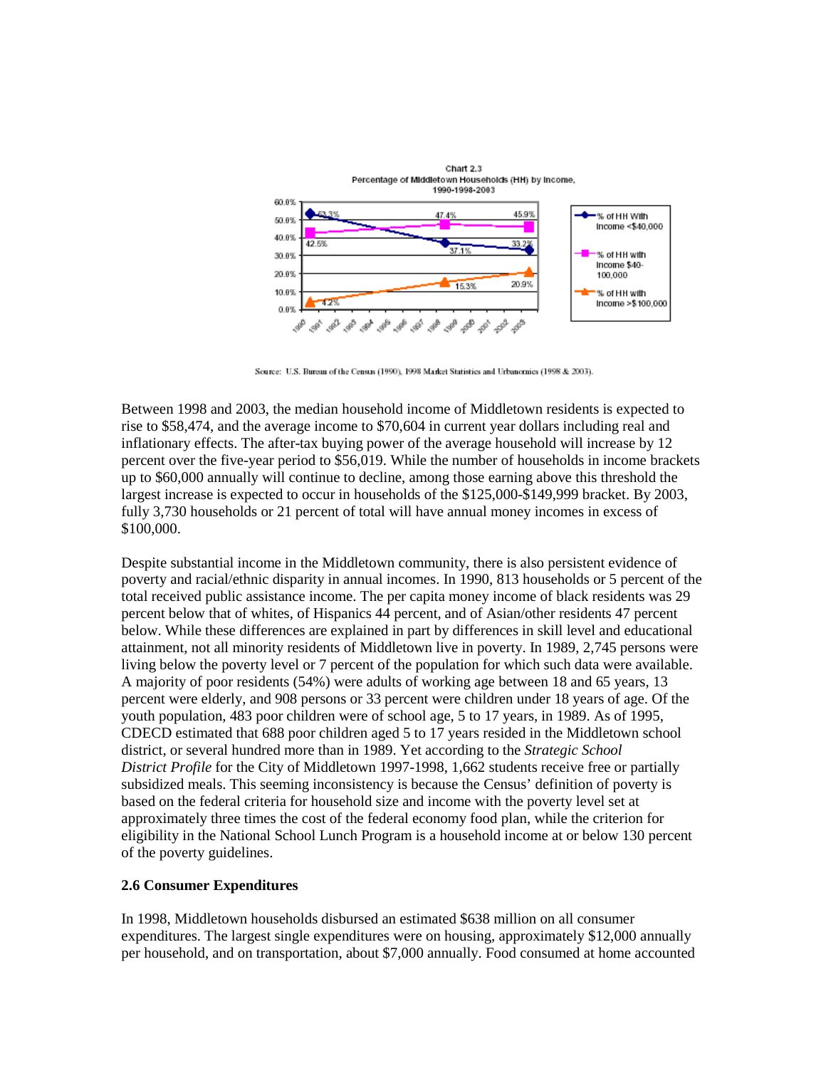

Source: U.S. Bureau of the Census (1990), 1998 Market Statistics and Urbanomics (1998 & 2003).

Between 1998 and 2003, the median household income of Middletown residents is expected to rise to \$58,474, and the average income to \$70,604 in current year dollars including real and inflationary effects. The after-tax buying power of the average household will increase by 12 percent over the five-year period to \$56,019. While the number of households in income brackets up to \$60,000 annually will continue to decline, among those earning above this threshold the largest increase is expected to occur in households of the \$125,000-\$149,999 bracket. By 2003, fully 3,730 households or 21 percent of total will have annual money incomes in excess of \$100,000.

Despite substantial income in the Middletown community, there is also persistent evidence of poverty and racial/ethnic disparity in annual incomes. In 1990, 813 households or 5 percent of the total received public assistance income. The per capita money income of black residents was 29 percent below that of whites, of Hispanics 44 percent, and of Asian/other residents 47 percent below. While these differences are explained in part by differences in skill level and educational attainment, not all minority residents of Middletown live in poverty. In 1989, 2,745 persons were living below the poverty level or 7 percent of the population for which such data were available. A majority of poor residents (54%) were adults of working age between 18 and 65 years, 13 percent were elderly, and 908 persons or 33 percent were children under 18 years of age. Of the youth population, 483 poor children were of school age, 5 to 17 years, in 1989. As of 1995, CDECD estimated that 688 poor children aged 5 to 17 years resided in the Middletown school district, or several hundred more than in 1989. Yet according to the *Strategic School District Profile* for the City of Middletown 1997-1998, 1,662 students receive free or partially subsidized meals. This seeming inconsistency is because the Census' definition of poverty is based on the federal criteria for household size and income with the poverty level set at approximately three times the cost of the federal economy food plan, while the criterion for eligibility in the National School Lunch Program is a household income at or below 130 percent of the poverty guidelines.

## **2.6 Consumer Expenditures**

In 1998, Middletown households disbursed an estimated \$638 million on all consumer expenditures. The largest single expenditures were on housing, approximately \$12,000 annually per household, and on transportation, about \$7,000 annually. Food consumed at home accounted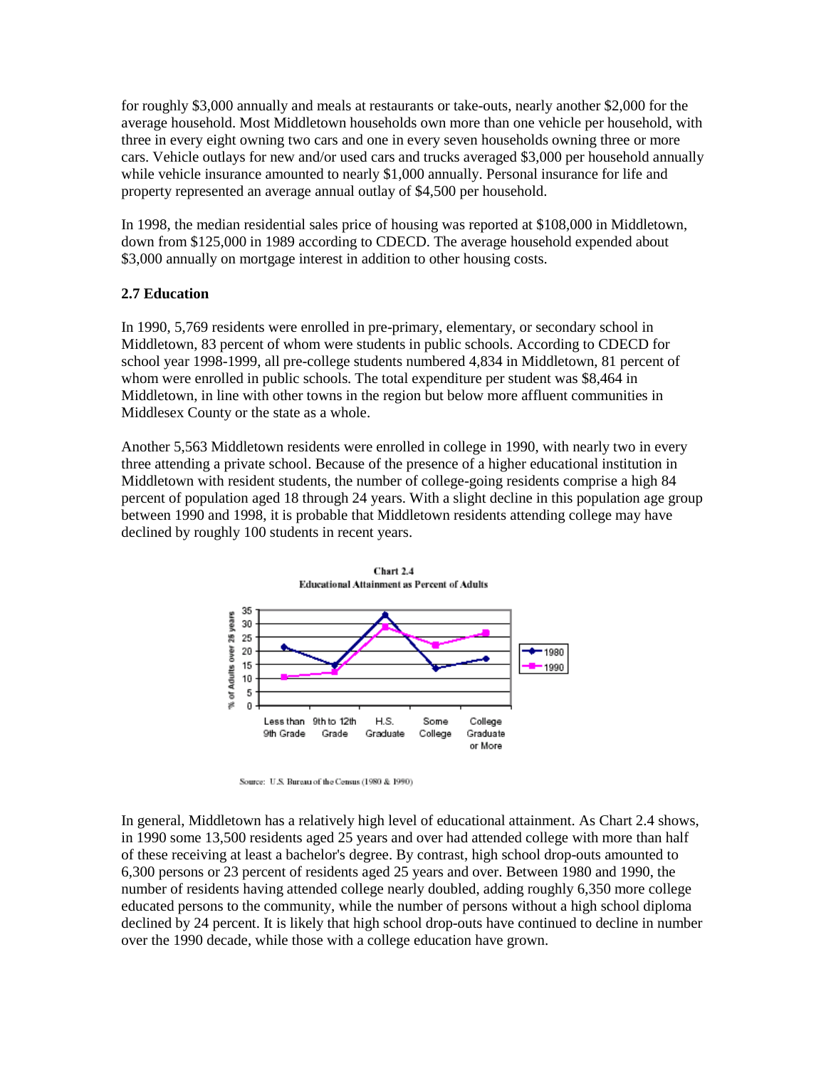for roughly \$3,000 annually and meals at restaurants or take-outs, nearly another \$2,000 for the average household. Most Middletown households own more than one vehicle per household, with three in every eight owning two cars and one in every seven households owning three or more cars. Vehicle outlays for new and/or used cars and trucks averaged \$3,000 per household annually while vehicle insurance amounted to nearly \$1,000 annually. Personal insurance for life and property represented an average annual outlay of \$4,500 per household.

In 1998, the median residential sales price of housing was reported at \$108,000 in Middletown, down from \$125,000 in 1989 according to CDECD. The average household expended about \$3,000 annually on mortgage interest in addition to other housing costs.

# **2.7 Education**

In 1990, 5,769 residents were enrolled in pre-primary, elementary, or secondary school in Middletown, 83 percent of whom were students in public schools. According to CDECD for school year 1998-1999, all pre-college students numbered 4,834 in Middletown, 81 percent of whom were enrolled in public schools. The total expenditure per student was \$8,464 in Middletown, in line with other towns in the region but below more affluent communities in Middlesex County or the state as a whole.

Another 5,563 Middletown residents were enrolled in college in 1990, with nearly two in every three attending a private school. Because of the presence of a higher educational institution in Middletown with resident students, the number of college-going residents comprise a high 84 percent of population aged 18 through 24 years. With a slight decline in this population age group between 1990 and 1998, it is probable that Middletown residents attending college may have declined by roughly 100 students in recent years.



Source: U.S. Bureau of the Census (1980 & 1990)

In general, Middletown has a relatively high level of educational attainment. As Chart 2.4 shows, in 1990 some 13,500 residents aged 25 years and over had attended college with more than half of these receiving at least a bachelor's degree. By contrast, high school drop-outs amounted to 6,300 persons or 23 percent of residents aged 25 years and over. Between 1980 and 1990, the number of residents having attended college nearly doubled, adding roughly 6,350 more college educated persons to the community, while the number of persons without a high school diploma declined by 24 percent. It is likely that high school drop-outs have continued to decline in number over the 1990 decade, while those with a college education have grown.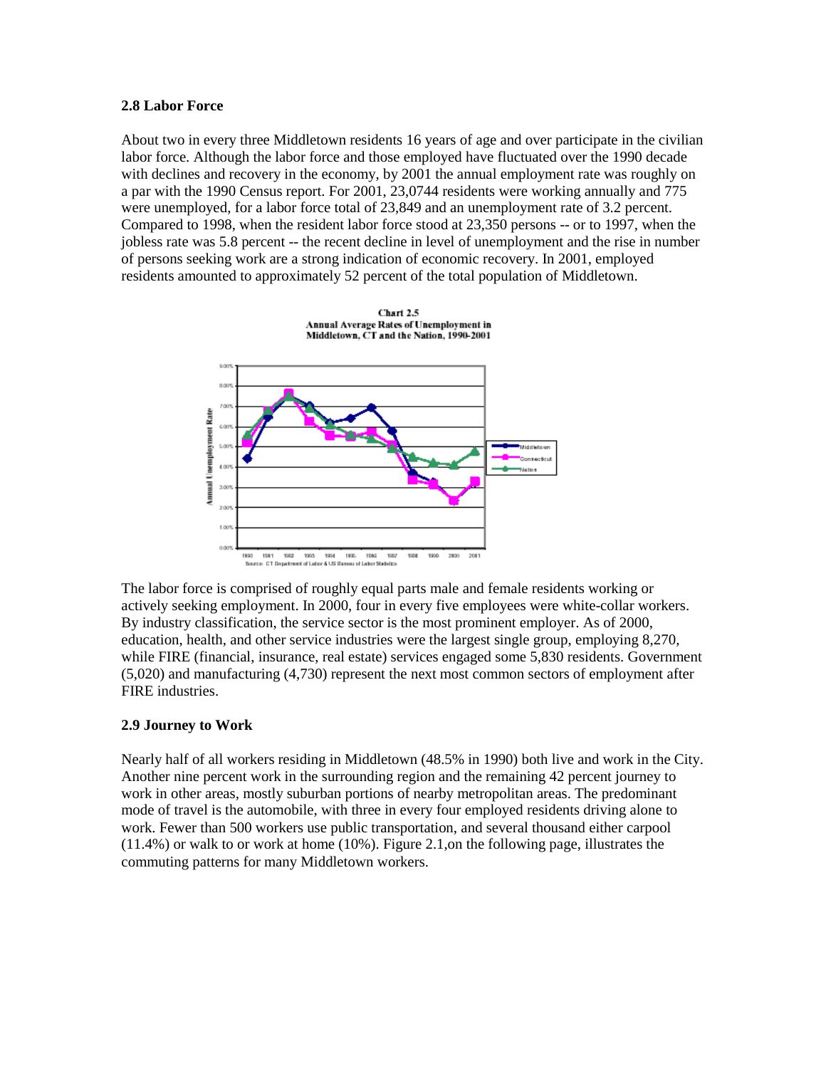#### **2.8 Labor Force**

About two in every three Middletown residents 16 years of age and over participate in the civilian labor force. Although the labor force and those employed have fluctuated over the 1990 decade with declines and recovery in the economy, by 2001 the annual employment rate was roughly on a par with the 1990 Census report. For 2001, 23,0744 residents were working annually and 775 were unemployed, for a labor force total of 23,849 and an unemployment rate of 3.2 percent. Compared to 1998, when the resident labor force stood at 23,350 persons -- or to 1997, when the jobless rate was 5.8 percent -- the recent decline in level of unemployment and the rise in number of persons seeking work are a strong indication of economic recovery. In 2001, employed residents amounted to approximately 52 percent of the total population of Middletown.



The labor force is comprised of roughly equal parts male and female residents working or actively seeking employment. In 2000, four in every five employees were white-collar workers. By industry classification, the service sector is the most prominent employer. As of 2000, education, health, and other service industries were the largest single group, employing 8,270, while FIRE (financial, insurance, real estate) services engaged some 5,830 residents. Government (5,020) and manufacturing (4,730) represent the next most common sectors of employment after FIRE industries.

## **2.9 Journey to Work**

Nearly half of all workers residing in Middletown (48.5% in 1990) both live and work in the City. Another nine percent work in the surrounding region and the remaining 42 percent journey to work in other areas, mostly suburban portions of nearby metropolitan areas. The predominant mode of travel is the automobile, with three in every four employed residents driving alone to work. Fewer than 500 workers use public transportation, and several thousand either carpool (11.4%) or walk to or work at home (10%). Figure 2.1,on the following page, illustrates the commuting patterns for many Middletown workers.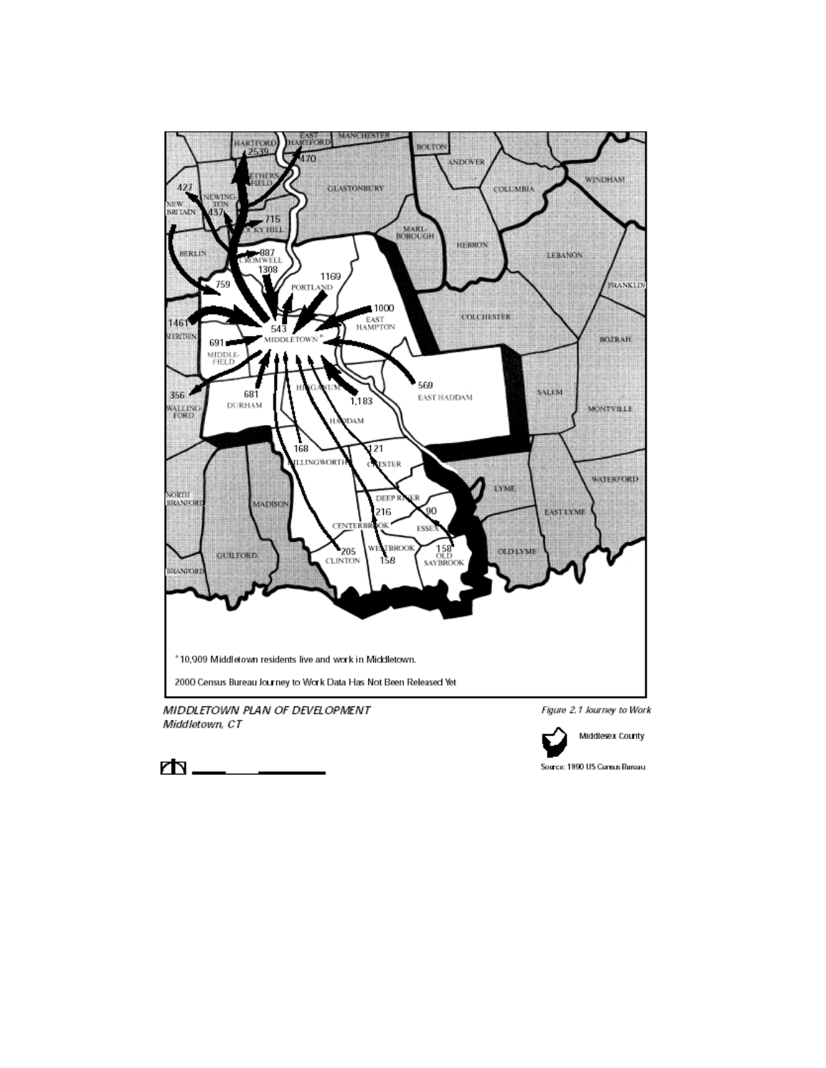

MIDDLETOWN PLAN OF DEVELOPMENT Middletown, CT

Figure 2.1 Journey to Work



Middlesex County

Source: 1990 US Census Bureau